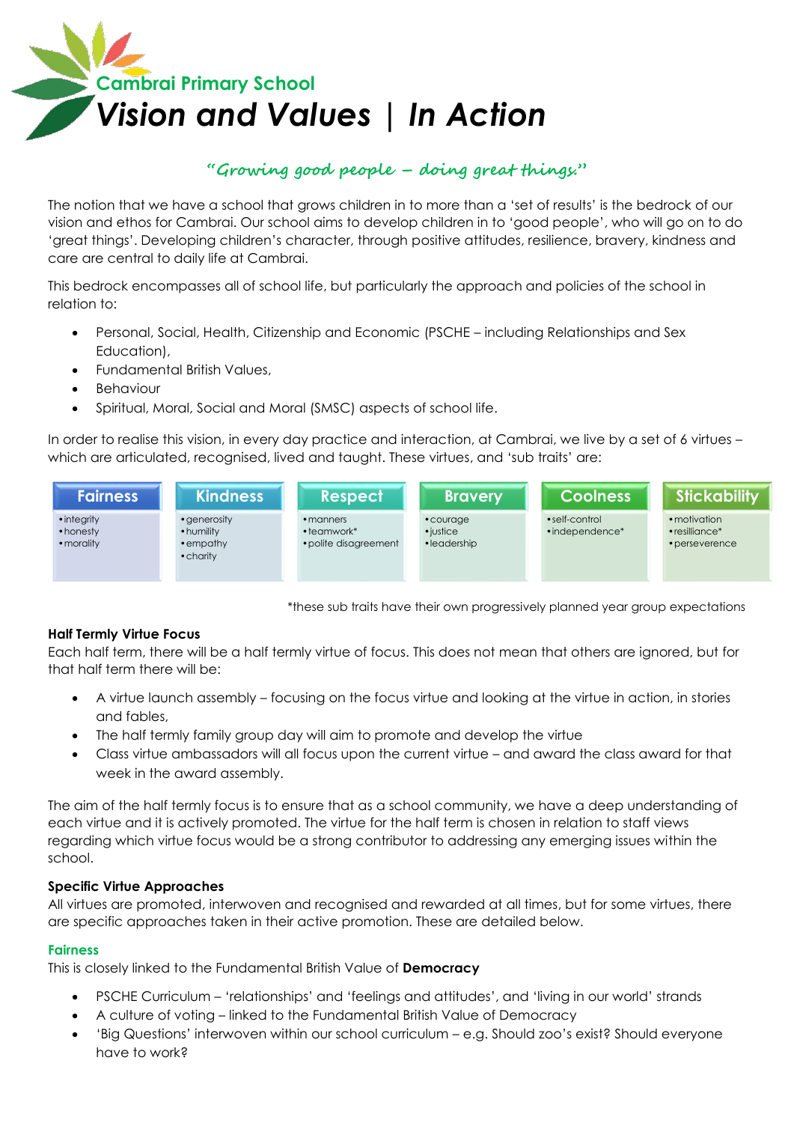

# **"Growing good people – doing great things."**

The notion that we have a school that grows children in to more than a 'set of results' is the bedrock of our vision and ethos for Cambrai. Our school aims to develop children in to 'good people', who will go on to do 'great things'. Developing children's character, through positive attitudes, resilience, bravery, kindness and care are central to daily life at Cambrai.

This bedrock encompasses all of school life, but particularly the approach and policies of the school in relation to:

- Personal, Social, Health, Citizenship and Economic (PSCHE including Relationships and Sex Education),
- Fundamental British Values,
- Behaviour
- Spiritual, Moral, Social and Moral (SMSC) aspects of school life.

In order to realise this vision, in every day practice and interaction, at Cambrai, we live by a set of 6 virtues – which are articulated, recognised, lived and taught. These virtues, and 'sub traits' are:



\*these sub traits have their own progressively planned year group expectations

# **Half Termly Virtue Focus**

Each half term, there will be a half termly virtue of focus. This does not mean that others are ignored, but for that half term there will be:

- A virtue launch assembly focusing on the focus virtue and looking at the virtue in action, in stories and fables,
- The half termly family group day will aim to promote and develop the virtue
- Class virtue ambassadors will all focus upon the current virtue and award the class award for that week in the award assembly.

The aim of the half termly focus is to ensure that as a school community, we have a deep understanding of each virtue and it is actively promoted. The virtue for the half term is chosen in relation to staff views regarding which virtue focus would be a strong contributor to addressing any emerging issues within the school.

# **Specific Virtue Approaches**

All virtues are promoted, interwoven and recognised and rewarded at all times, but for some virtues, there are specific approaches taken in their active promotion. These are detailed below.

#### **Fairness**

This is closely linked to the Fundamental British Value of **Democracy** 

- PSCHE Curriculum 'relationships' and 'feelings and attitudes', and 'living in our world' strands
- A culture of voting linked to the Fundamental British Value of Democracy
- 'Big Questions' interwoven within our school curriculum e.g. Should zoo's exist? Should everyone have to work?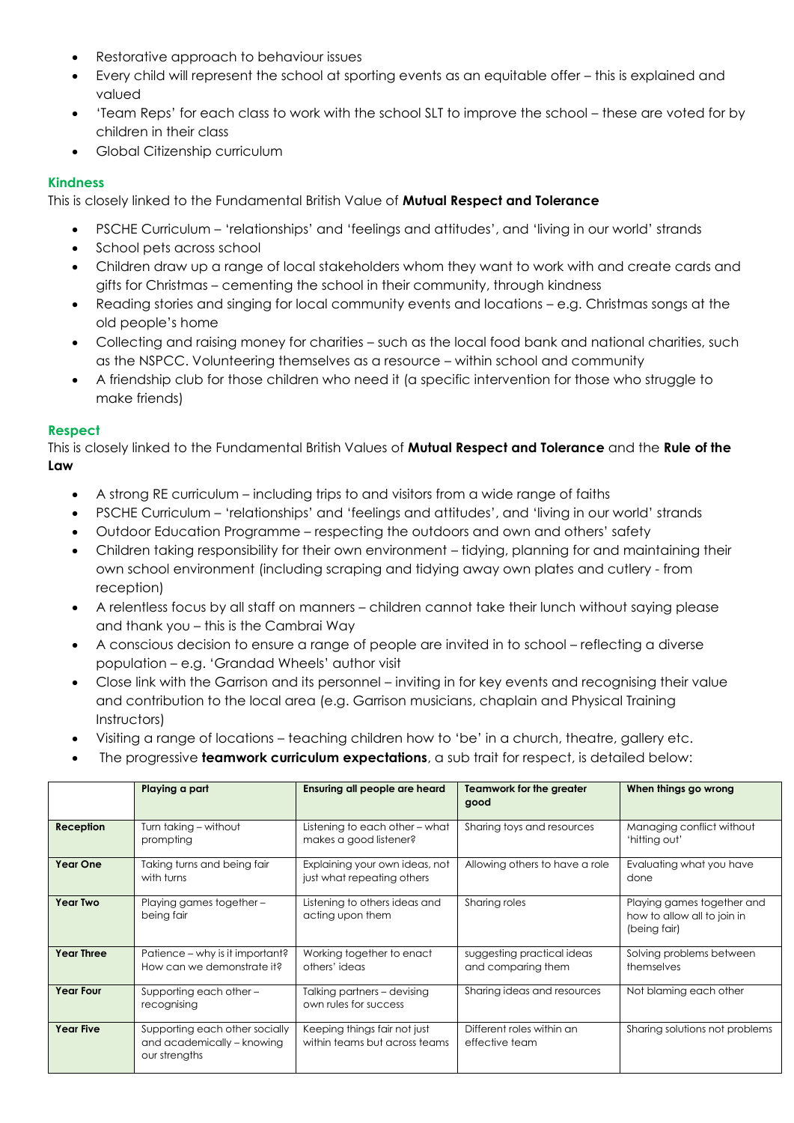- Restorative approach to behaviour issues
- Every child will represent the school at sporting events as an equitable offer this is explained and valued
- 'Team Reps' for each class to work with the school SLT to improve the school these are voted for by children in their class
- Global Citizenship curriculum

# **Kindness**

This is closely linked to the Fundamental British Value of **Mutual Respect and Tolerance**

- PSCHE Curriculum 'relationships' and 'feelings and attitudes', and 'living in our world' strands
- School pets across school
- Children draw up a range of local stakeholders whom they want to work with and create cards and gifts for Christmas – cementing the school in their community, through kindness
- Reading stories and singing for local community events and locations e.g. Christmas songs at the old people's home
- Collecting and raising money for charities such as the local food bank and national charities, such as the NSPCC. Volunteering themselves as a resource – within school and community
- A friendship club for those children who need it (a specific intervention for those who struggle to make friends)

# **Respect**

This is closely linked to the Fundamental British Values of **Mutual Respect and Tolerance** and the **Rule of the Law**

- A strong RE curriculum including trips to and visitors from a wide range of faiths
- PSCHE Curriculum 'relationships' and 'feelings and attitudes', and 'living in our world' strands
- Outdoor Education Programme respecting the outdoors and own and others' safety
- Children taking responsibility for their own environment tidying, planning for and maintaining their own school environment (including scraping and tidying away own plates and cutlery - from reception)
- A relentless focus by all staff on manners children cannot take their lunch without saying please and thank you – this is the Cambrai Way
- A conscious decision to ensure a range of people are invited in to school reflecting a diverse population – e.g. 'Grandad Wheels' author visit
- Close link with the Garrison and its personnel inviting in for key events and recognising their value and contribution to the local area (e.g. Garrison musicians, chaplain and Physical Training Instructors)
- Visiting a range of locations teaching children how to 'be' in a church, theatre, gallery etc.
- The progressive **teamwork curriculum expectations**, a sub trait for respect, is detailed below:

|                   | Playing a part                                                                | Ensuring all people are heard                                 | Teamwork for the greater<br>good                 | When things go wrong                                                      |
|-------------------|-------------------------------------------------------------------------------|---------------------------------------------------------------|--------------------------------------------------|---------------------------------------------------------------------------|
| Reception         | Turn taking - without<br>prompting                                            | Listening to each other - what<br>makes a good listener?      | Sharing toys and resources                       | Managing conflict without<br>'hitting out'                                |
| Year One          | Taking turns and being fair<br>with turns                                     | Explaining your own ideas, not<br>just what repeating others  | Allowing others to have a role                   | Evaluating what you have<br>done                                          |
| <b>Year Two</b>   | Playing games together -<br>being fair                                        | Listening to others ideas and<br>acting upon them             | Sharing roles                                    | Playing games together and<br>how to allow all to join in<br>(being fair) |
| <b>Year Three</b> | Patience - why is it important?<br>How can we demonstrate it?                 | Working together to enact<br>others' ideas                    | suggesting practical ideas<br>and comparing them | Solving problems between<br>themselves                                    |
| <b>Year Four</b>  | Supporting each other -<br>recognising                                        | Talking partners - devising<br>own rules for success          | Sharing ideas and resources                      | Not blaming each other                                                    |
| <b>Year Five</b>  | Supporting each other socially<br>and academically - knowing<br>our strengths | Keeping things fair not just<br>within teams but across teams | Different roles within an<br>effective team      | Sharing solutions not problems                                            |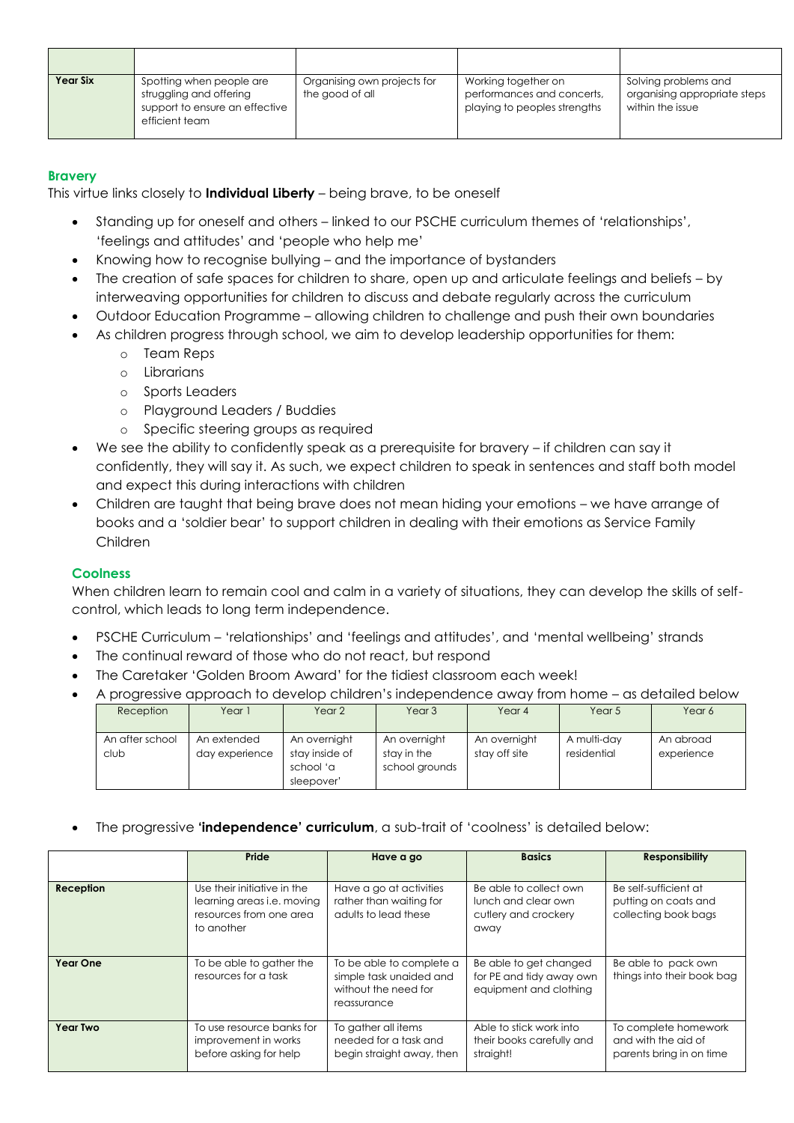| <b>Year Six</b> | Spotting when people are<br>struggling and offering<br>support to ensure an effective<br>efficient team | Organising own projects for<br>the good of all | Working together on<br>performances and concerts,<br>playing to peoples strengths | Solving problems and<br>organising appropriate steps<br>within the issue |
|-----------------|---------------------------------------------------------------------------------------------------------|------------------------------------------------|-----------------------------------------------------------------------------------|--------------------------------------------------------------------------|

# **Bravery**

This virtue links closely to **Individual Liberty** – being brave, to be oneself

- Standing up for oneself and others linked to our PSCHE curriculum themes of 'relationships', 'feelings and attitudes' and 'people who help me'
- Knowing how to recognise bullying and the importance of bystanders
- The creation of safe spaces for children to share, open up and articulate feelings and beliefs by interweaving opportunities for children to discuss and debate regularly across the curriculum
- Outdoor Education Programme allowing children to challenge and push their own boundaries
- As children progress through school, we aim to develop leadership opportunities for them:
	- o Team Reps
	- o Librarians
	- o Sports Leaders
	- o Playground Leaders / Buddies
	- o Specific steering groups as required
- We see the ability to confidently speak as a prerequisite for bravery if children can say it confidently, they will say it. As such, we expect children to speak in sentences and staff both model and expect this during interactions with children
- Children are taught that being brave does not mean hiding your emotions we have arrange of books and a 'soldier bear' to support children in dealing with their emotions as Service Family Children

# **Coolness**

When children learn to remain cool and calm in a variety of situations, they can develop the skills of selfcontrol, which leads to long term independence.

- PSCHE Curriculum 'relationships' and 'feelings and attitudes', and 'mental wellbeing' strands
- The continual reward of those who do not react, but respond
- The Caretaker 'Golden Broom Award' for the tidiest classroom each week!

#### A progressive approach to develop children's independence away from home – as detailed below

| Reception       | Year 1         | Year 2         | Year 3         | Year 4        | Year 5      | Year 6     |
|-----------------|----------------|----------------|----------------|---------------|-------------|------------|
| An after school | An extended    | An overnight   | An overnight   | An overnight  | A multi-day | An abroad  |
| club            | day experience | stay inside of | stay in the    | stay off site | residential | experience |
|                 |                | school 'a      | school grounds |               |             |            |
|                 |                | sleepover'     |                |               |             |            |

The progressive **'independence' curriculum**, a sub-trait of 'coolness' is detailed below:

|                  | Pride                                                                                                     | Have a go                                                                                  | <b>Basics</b>                                                                 | <b>Responsibility</b>                                                   |
|------------------|-----------------------------------------------------------------------------------------------------------|--------------------------------------------------------------------------------------------|-------------------------------------------------------------------------------|-------------------------------------------------------------------------|
| <b>Reception</b> | Use their initiative in the<br>learning areas <i>i.e.</i> moving<br>resources from one area<br>to another | Have a go at activities<br>rather than waiting for<br>adults to lead these                 | Be able to collect own<br>lunch and clear own<br>cutlery and crockery<br>away | Be self-sufficient at<br>putting on coats and<br>collecting book bags   |
| Year One         | To be able to gather the<br>resources for a task                                                          | To be able to complete a<br>simple task unaided and<br>without the need for<br>reassurance | Be able to get changed<br>for PE and tidy away own<br>equipment and clothing  | Be able to pack own<br>things into their book bag                       |
| <b>Year Two</b>  | To use resource banks for<br>improvement in works<br>before asking for help                               | To gather all items<br>needed for a task and<br>begin straight away, then                  | Able to stick work into<br>their books carefully and<br>straight!             | To complete homework<br>and with the aid of<br>parents bring in on time |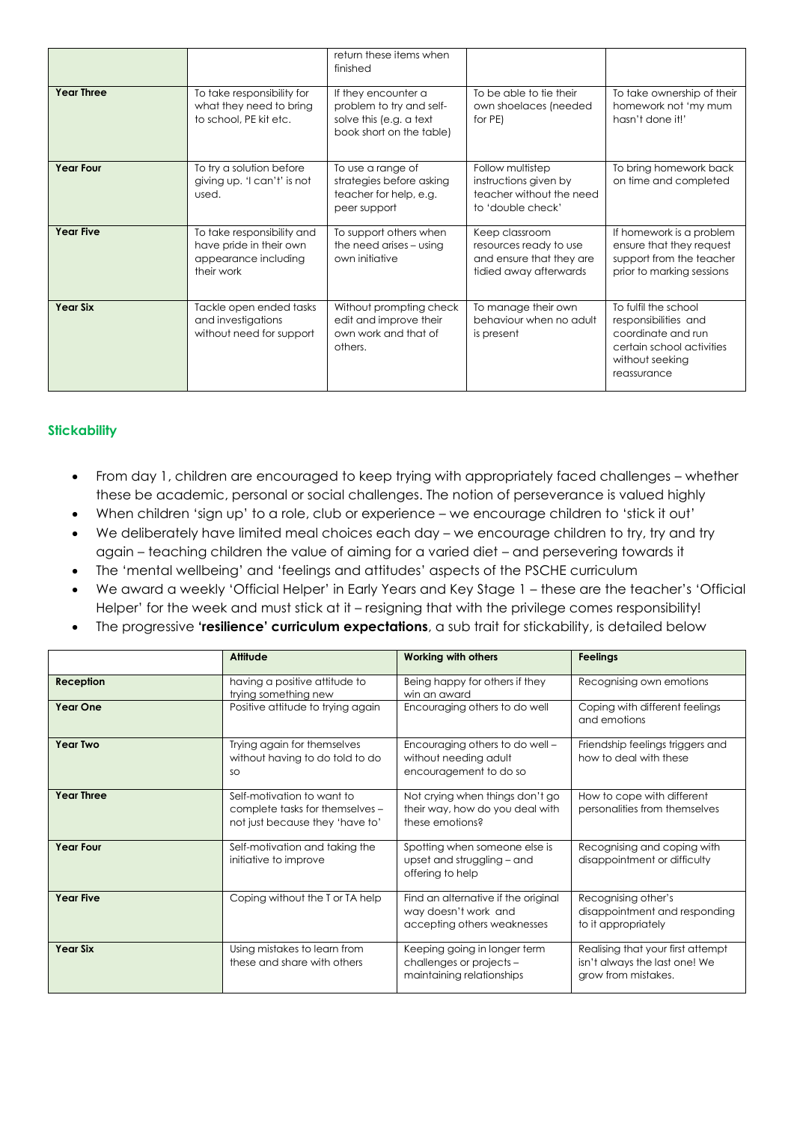|                   |                                                                                             | return these items when<br>finished                                                                    |                                                                                                |                                                                                                                                   |
|-------------------|---------------------------------------------------------------------------------------------|--------------------------------------------------------------------------------------------------------|------------------------------------------------------------------------------------------------|-----------------------------------------------------------------------------------------------------------------------------------|
| <b>Year Three</b> | To take responsibility for<br>what they need to bring<br>to school, PE kit etc.             | If they encounter a<br>problem to try and self-<br>solve this (e.g. a text<br>book short on the table) | To be able to tie their<br>own shoelaces (needed<br>for PE)                                    | To take ownership of their<br>homework not 'my mum<br>hasn't done it!'                                                            |
| <b>Year Four</b>  | To try a solution before<br>giving up. 'I can't' is not<br>used.                            | To use a range of<br>strategies before asking<br>teacher for help, e.g.<br>peer support                | Follow multistep<br>instructions given by<br>teacher without the need<br>to 'double check'     | To bring homework back<br>on time and completed                                                                                   |
| <b>Year Five</b>  | To take responsibility and<br>have pride in their own<br>appearance including<br>their work | To support others when<br>the need arises - using<br>own initiative                                    | Keep classroom<br>resources ready to use<br>and ensure that they are<br>tidied away afterwards | If homework is a problem<br>ensure that they request<br>support from the teacher<br>prior to marking sessions                     |
| <b>Year Six</b>   | Tackle open ended tasks<br>and investigations<br>without need for support                   | Without prompting check<br>edit and improve their<br>own work and that of<br>others.                   | To manage their own<br>behaviour when no adult<br>is present                                   | To fulfil the school<br>responsibilities and<br>coordinate and run<br>certain school activities<br>without seeking<br>reassurance |

# **Stickability**

- From day 1, children are encouraged to keep trying with appropriately faced challenges whether these be academic, personal or social challenges. The notion of perseverance is valued highly
- When children 'sign up' to a role, club or experience we encourage children to 'stick it out'
- We deliberately have limited meal choices each day we encourage children to try, try and try again – teaching children the value of aiming for a varied diet – and persevering towards it
- The 'mental wellbeing' and 'feelings and attitudes' aspects of the PSCHE curriculum
- We award a weekly 'Official Helper' in Early Years and Key Stage 1 these are the teacher's 'Official Helper' for the week and must stick at it – resigning that with the privilege comes responsibility!
- The progressive **'resilience' curriculum expectations**, a sub trait for stickability, is detailed below

|                   | Attitude                                                                                         | <b>Working with others</b>                                                                 | <b>Feelings</b>                                                                           |
|-------------------|--------------------------------------------------------------------------------------------------|--------------------------------------------------------------------------------------------|-------------------------------------------------------------------------------------------|
| <b>Reception</b>  | having a positive attitude to<br>trying something new                                            | Being happy for others if they<br>win an award                                             | Recognising own emotions                                                                  |
| <b>Year One</b>   | Positive attitude to trying again                                                                | Encouraging others to do well                                                              | Coping with different feelings<br>and emotions                                            |
| <b>Year Two</b>   | Trying again for themselves<br>without having to do told to do<br>SO                             | Encouraging others to do well -<br>without needing adult<br>encouragement to do so         | Friendship feelings triggers and<br>how to deal with these                                |
| <b>Year Three</b> | Self-motivation to want to<br>complete tasks for themselves -<br>not just because they 'have to' | Not crying when things don't go<br>their way, how do you deal with<br>these emotions?      | How to cope with different<br>personalities from themselves                               |
| <b>Year Four</b>  | Self-motivation and taking the<br>initiative to improve                                          | Spotting when someone else is<br>upset and struggling - and<br>offering to help            | Recognising and coping with<br>disappointment or difficulty                               |
| <b>Year Five</b>  | Coping without the T or TA help                                                                  | Find an alternative if the original<br>way doesn't work and<br>accepting others weaknesses | Recognising other's<br>disappointment and responding<br>to it appropriately               |
| <b>Year Six</b>   | Using mistakes to learn from<br>these and share with others                                      | Keeping going in longer term<br>challenges or projects -<br>maintaining relationships      | Realising that your first attempt<br>isn't always the last one! We<br>grow from mistakes. |